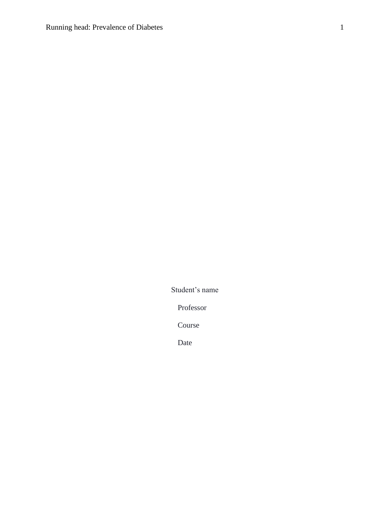Student's name

Professor

Course

Date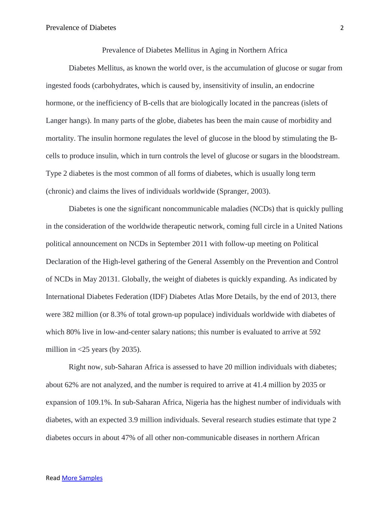### Prevalence of Diabetes Mellitus in Aging in Northern Africa

Diabetes Mellitus, as known the world over, is the accumulation of glucose or sugar from ingested foods (carbohydrates, which is caused by, insensitivity of insulin, an endocrine hormone, or the inefficiency of B-cells that are biologically located in the pancreas (islets of Langer hangs). In many parts of the globe, diabetes has been the main cause of morbidity and mortality. The insulin hormone regulates the level of glucose in the blood by stimulating the Bcells to produce insulin, which in turn controls the level of glucose or sugars in the bloodstream. Type 2 diabetes is the most common of all forms of diabetes, which is usually long term (chronic) and claims the lives of individuals worldwide (Spranger, 2003).

Diabetes is one the significant noncommunicable maladies (NCDs) that is quickly pulling in the consideration of the worldwide therapeutic network, coming full circle in a United Nations political announcement on NCDs in September 2011 with follow-up meeting on Political Declaration of the High-level gathering of the General Assembly on the Prevention and Control of NCDs in May 20131. Globally, the weight of diabetes is quickly expanding. As indicated by International Diabetes Federation (IDF) Diabetes Atlas More Details, by the end of 2013, there were 382 million (or 8.3% of total grown-up populace) individuals worldwide with diabetes of which 80% live in low-and-center salary nations; this number is evaluated to arrive at 592 million in  $\langle 25 \rangle$  years (by 2035).

Right now, sub-Saharan Africa is assessed to have 20 million individuals with diabetes; about 62% are not analyzed, and the number is required to arrive at 41.4 million by 2035 or expansion of 109.1%. In sub-Saharan Africa, Nigeria has the highest number of individuals with diabetes, with an expected 3.9 million individuals. Several research studies estimate that type 2 diabetes occurs in about 47% of all other non-communicable diseases in northern African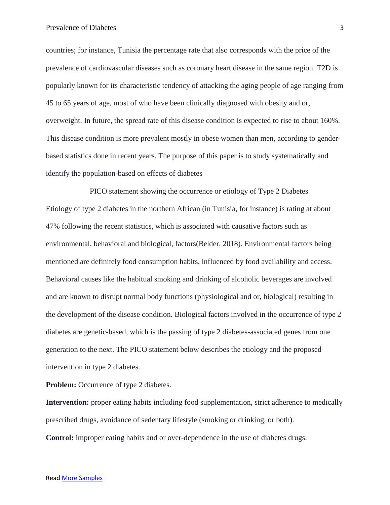### Prevalence of Diabetes 3

countries; for instance, Tunisia the percentage rate that also corresponds with the price of the prevalence of cardiovascular diseases such as coronary heart disease in the same region. T2D is popularly known for its characteristic tendency of attacking the aging people of age ranging from 45 to 65 years of age, most of who have been clinically diagnosed with obesity and or, overweight. In future, the spread rate of this disease condition is expected to rise to about 160%. This disease condition is more prevalent mostly in obese women than men, according to genderbased statistics done in recent years. The purpose of this paper is to study systematically and identify the population-based on effects of diabetes

PICO statement showing the occurrence or etiology of Type 2 Diabetes Etiology of type 2 diabetes in the northern African (in Tunisia, for instance) is rating at about 47% following the recent statistics, which is associated with causative factors such as environmental, behavioral and biological, factors(Belder, 2018). Environmental factors being mentioned are definitely food consumption habits, influenced by food availability and access. Behavioral causes like the habitual smoking and drinking of alcoholic beverages are involved and are known to disrupt normal body functions (physiological and or, biological) resulting in the development of the disease condition. Biological factors involved in the occurrence of type 2 diabetes are genetic-based, which is the passing of type 2 diabetes-associated genes from one generation to the next. The PICO statement below describes the etiology and the proposed intervention in type 2 diabetes.

**Problem:** Occurrence of type 2 diabetes.

**Intervention:** proper eating habits including food supplementation, strict adherence to medically prescribed drugs, avoidance of sedentary lifestyle (smoking or drinking, or both).

**Control:** improper eating habits and or over-dependence in the use of diabetes drugs.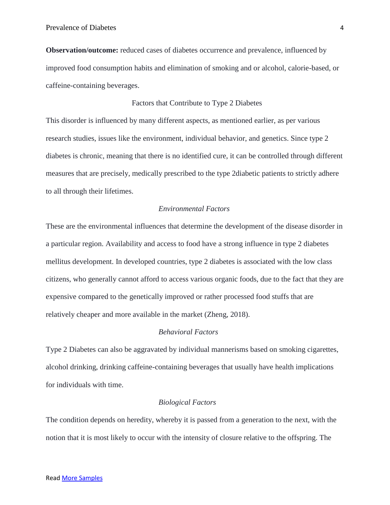**Observation/outcome:** reduced cases of diabetes occurrence and prevalence, influenced by improved food consumption habits and elimination of smoking and or alcohol, calorie-based, or caffeine-containing beverages.

## Factors that Contribute to Type 2 Diabetes

This disorder is influenced by many different aspects, as mentioned earlier, as per various research studies, issues like the environment, individual behavior, and genetics. Since type 2 diabetes is chronic, meaning that there is no identified cure, it can be controlled through different measures that are precisely, medically prescribed to the type 2diabetic patients to strictly adhere to all through their lifetimes.

# *Environmental Factors*

These are the environmental influences that determine the development of the disease disorder in a particular region. Availability and access to food have a strong influence in type 2 diabetes mellitus development. In developed countries, type 2 diabetes is associated with the low class citizens, who generally cannot afford to access various organic foods, due to the fact that they are expensive compared to the genetically improved or rather processed food stuffs that are relatively cheaper and more available in the market (Zheng, 2018).

## *Behavioral Factors*

Type 2 Diabetes can also be aggravated by individual mannerisms based on smoking cigarettes, alcohol drinking, drinking caffeine-containing beverages that usually have health implications for individuals with time.

### *Biological Factors*

The condition depends on heredity, whereby it is passed from a generation to the next, with the notion that it is most likely to occur with the intensity of closure relative to the offspring. The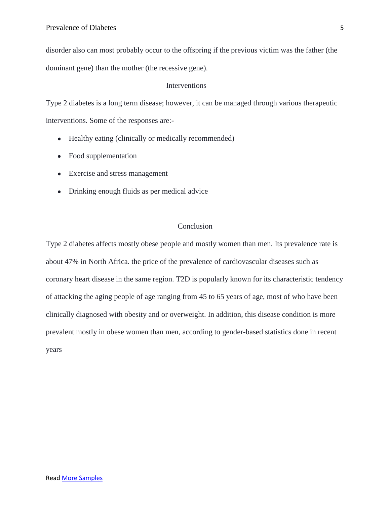disorder also can most probably occur to the offspring if the previous victim was the father (the dominant gene) than the mother (the recessive gene).

## Interventions

Type 2 diabetes is a long term disease; however, it can be managed through various therapeutic interventions. Some of the responses are:-

- Healthy eating (clinically or medically recommended)
- Food supplementation
- Exercise and stress management
- Drinking enough fluids as per medical advice

# Conclusion

Type 2 diabetes affects mostly obese people and mostly women than men. Its prevalence rate is about 47% in North Africa. the price of the prevalence of cardiovascular diseases such as coronary heart disease in the same region. T2D is popularly known for its characteristic tendency of attacking the aging people of age ranging from 45 to 65 years of age, most of who have been clinically diagnosed with obesity and or overweight. In addition, this disease condition is more prevalent mostly in obese women than men, according to gender-based statistics done in recent years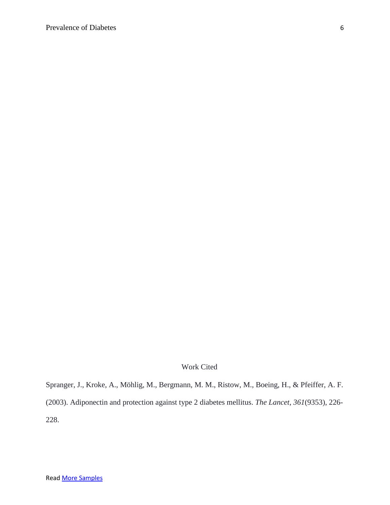# Work Cited

Spranger, J., Kroke, A., Möhlig, M., Bergmann, M. M., Ristow, M., Boeing, H., & Pfeiffer, A. F. (2003). Adiponectin and protection against type 2 diabetes mellitus. *The Lancet*, *361*(9353), 226- 228.